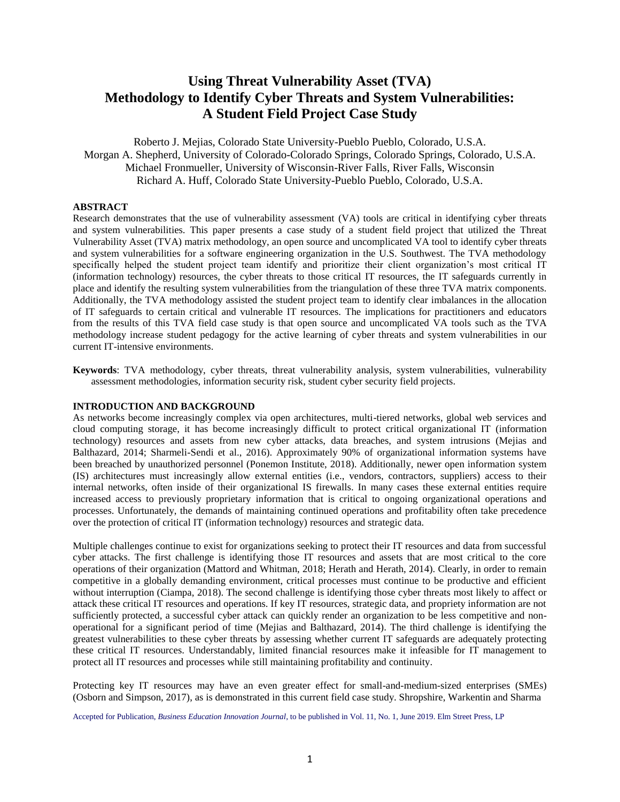# **Using Threat Vulnerability Asset (TVA) Methodology to Identify Cyber Threats and System Vulnerabilities: A Student Field Project Case Study**

Roberto J. Mejias, Colorado State University-Pueblo Pueblo, Colorado, U.S.A. Morgan A. Shepherd, University of Colorado-Colorado Springs, Colorado Springs, Colorado, U.S.A. Michael Fronmueller, University of Wisconsin-River Falls, River Falls, Wisconsin Richard A. Huff, Colorado State University-Pueblo Pueblo, Colorado, U.S.A.

## **ABSTRACT**

Research demonstrates that the use of vulnerability assessment (VA) tools are critical in identifying cyber threats and system vulnerabilities. This paper presents a case study of a student field project that utilized the Threat Vulnerability Asset (TVA) matrix methodology, an open source and uncomplicated VA tool to identify cyber threats and system vulnerabilities for a software engineering organization in the U.S. Southwest. The TVA methodology specifically helped the student project team identify and prioritize their client organization's most critical IT (information technology) resources, the cyber threats to those critical IT resources, the IT safeguards currently in place and identify the resulting system vulnerabilities from the triangulation of these three TVA matrix components. Additionally, the TVA methodology assisted the student project team to identify clear imbalances in the allocation of IT safeguards to certain critical and vulnerable IT resources. The implications for practitioners and educators from the results of this TVA field case study is that open source and uncomplicated VA tools such as the TVA methodology increase student pedagogy for the active learning of cyber threats and system vulnerabilities in our current IT-intensive environments.

**Keywords**: TVA methodology, cyber threats, threat vulnerability analysis, system vulnerabilities, vulnerability assessment methodologies, information security risk, student cyber security field projects.

#### **INTRODUCTION AND BACKGROUND**

As networks become increasingly complex via open architectures, multi-tiered networks, global web services and cloud computing storage, it has become increasingly difficult to protect critical organizational IT (information technology) resources and assets from new cyber attacks, data breaches, and system intrusions (Mejias and Balthazard, 2014; Sharmeli-Sendi et al., 2016). Approximately 90% of organizational information systems have been breached by unauthorized personnel (Ponemon Institute, 2018). Additionally, newer open information system (IS) architectures must increasingly allow external entities (i.e., vendors, contractors, suppliers) access to their internal networks, often inside of their organizational IS firewalls. In many cases these external entities require increased access to previously proprietary information that is critical to ongoing organizational operations and processes. Unfortunately, the demands of maintaining continued operations and profitability often take precedence over the protection of critical IT (information technology) resources and strategic data.

Multiple challenges continue to exist for organizations seeking to protect their IT resources and data from successful cyber attacks. The first challenge is identifying those IT resources and assets that are most critical to the core operations of their organization (Mattord and Whitman, 2018; Herath and Herath, 2014). Clearly, in order to remain competitive in a globally demanding environment, critical processes must continue to be productive and efficient without interruption (Ciampa, 2018). The second challenge is identifying those cyber threats most likely to affect or attack these critical IT resources and operations. If key IT resources, strategic data, and propriety information are not sufficiently protected, a successful cyber attack can quickly render an organization to be less competitive and nonoperational for a significant period of time (Mejias and Balthazard, 2014). The third challenge is identifying the greatest vulnerabilities to these cyber threats by assessing whether current IT safeguards are adequately protecting these critical IT resources. Understandably, limited financial resources make it infeasible for IT management to protect all IT resources and processes while still maintaining profitability and continuity.

Protecting key IT resources may have an even greater effect for small-and-medium-sized enterprises (SMEs) (Osborn and Simpson, 2017), as is demonstrated in this current field case study. Shropshire, Warkentin and Sharma

Accepted for Publication, *Business Education Innovation Journal*, to be published in Vol. 11, No. 1, June 2019. Elm Street Press, LP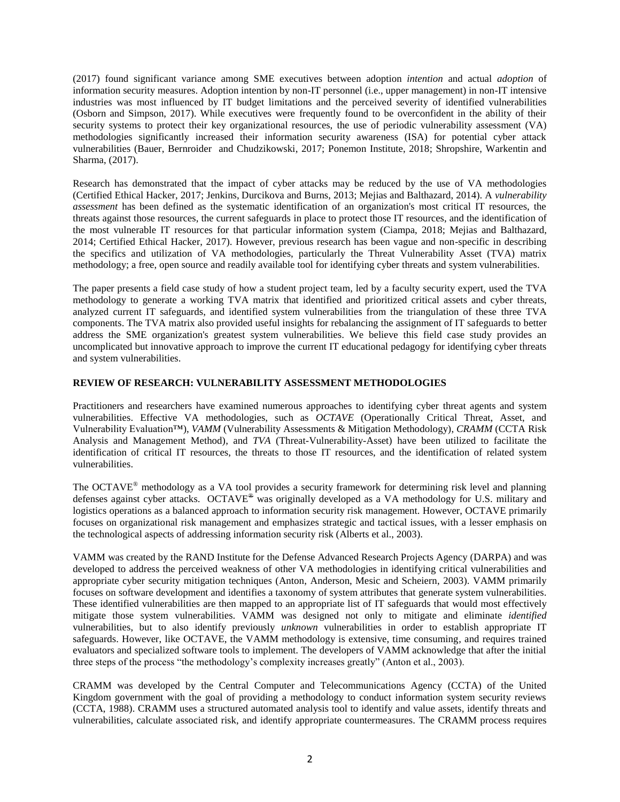(2017) found significant variance among SME executives between adoption *intention* and actual *adoption* of information security measures. Adoption intention by non-IT personnel (i.e., upper management) in non-IT intensive industries was most influenced by IT budget limitations and the perceived severity of identified vulnerabilities (Osborn and Simpson, 2017). While executives were frequently found to be overconfident in the ability of their security systems to protect their key organizational resources, the use of periodic vulnerability assessment (VA) methodologies significantly increased their information security awareness (ISA) for potential cyber attack vulnerabilities (Bauer, Bernroider and Chudzikowski, 2017; Ponemon Institute, 2018; Shropshire, Warkentin and Sharma, (2017).

Research has demonstrated that the impact of cyber attacks may be reduced by the use of VA methodologies (Certified Ethical Hacker, 2017; Jenkins, Durcikova and Burns, 2013; Mejias and Balthazard, 2014). A *vulnerability assessment* has been defined as the systematic identification of an organization's most critical IT resources, the threats against those resources, the current safeguards in place to protect those IT resources, and the identification of the most vulnerable IT resources for that particular information system (Ciampa, 2018; Mejias and Balthazard, 2014; Certified Ethical Hacker, 2017). However, previous research has been vague and non-specific in describing the specifics and utilization of VA methodologies, particularly the Threat Vulnerability Asset (TVA) matrix methodology; a free, open source and readily available tool for identifying cyber threats and system vulnerabilities.

The paper presents a field case study of how a student project team, led by a faculty security expert, used the TVA methodology to generate a working TVA matrix that identified and prioritized critical assets and cyber threats, analyzed current IT safeguards, and identified system vulnerabilities from the triangulation of these three TVA components. The TVA matrix also provided useful insights for rebalancing the assignment of IT safeguards to better address the SME organization's greatest system vulnerabilities. We believe this field case study provides an uncomplicated but innovative approach to improve the current IT educational pedagogy for identifying cyber threats and system vulnerabilities.

## **REVIEW OF RESEARCH: VULNERABILITY ASSESSMENT METHODOLOGIES**

Practitioners and researchers have examined numerous approaches to identifying cyber threat agents and system vulnerabilities. Effective VA methodologies, such as *OCTAVE* (Operationally Critical Threat, Asset, and Vulnerability Evaluation™), *VAMM* (Vulnerability Assessments & Mitigation Methodology), *CRAMM* (CCTA Risk Analysis and Management Method), and *TVA* (Threat-Vulnerability-Asset) have been utilized to facilitate the identification of critical IT resources, the threats to those IT resources, and the identification of related system vulnerabilities.

The OCTAVE® methodology as a VA tool provides a security framework for determining risk level and planning defenses against cyber attacks. OCTAVE<sup>®</sup> was originally developed as a VA methodology for U.S. military and logistics operations as a balanced approach to information security risk management. However, OCTAVE primarily focuses on organizational risk management and emphasizes strategic and tactical issues, with a lesser emphasis on the technological aspects of addressing information security risk (Alberts et al., 2003).

VAMM was created by the RAND Institute for the Defense Advanced Research Projects Agency (DARPA) and was developed to address the perceived weakness of other VA methodologies in identifying critical vulnerabilities and appropriate cyber security mitigation techniques (Anton, Anderson, Mesic and Scheiern, 2003). VAMM primarily focuses on software development and identifies a taxonomy of system attributes that generate system vulnerabilities. These identified vulnerabilities are then mapped to an appropriate list of IT safeguards that would most effectively mitigate those system vulnerabilities. VAMM was designed not only to mitigate and eliminate *identified* vulnerabilities, but to also identify previously *unknown* vulnerabilities in order to establish appropriate IT safeguards. However, like OCTAVE, the VAMM methodology is extensive, time consuming, and requires trained evaluators and specialized software tools to implement. The developers of VAMM acknowledge that after the initial three steps of the process "the methodology's complexity increases greatly" (Anton et al., 2003).

CRAMM was developed by the Central Computer and Telecommunications Agency (CCTA) of the United Kingdom government with the goal of providing a methodology to conduct information system security reviews (CCTA, 1988). CRAMM uses a structured automated analysis tool to identify and value assets, identify threats and vulnerabilities, calculate associated risk, and identify appropriate countermeasures. The CRAMM process requires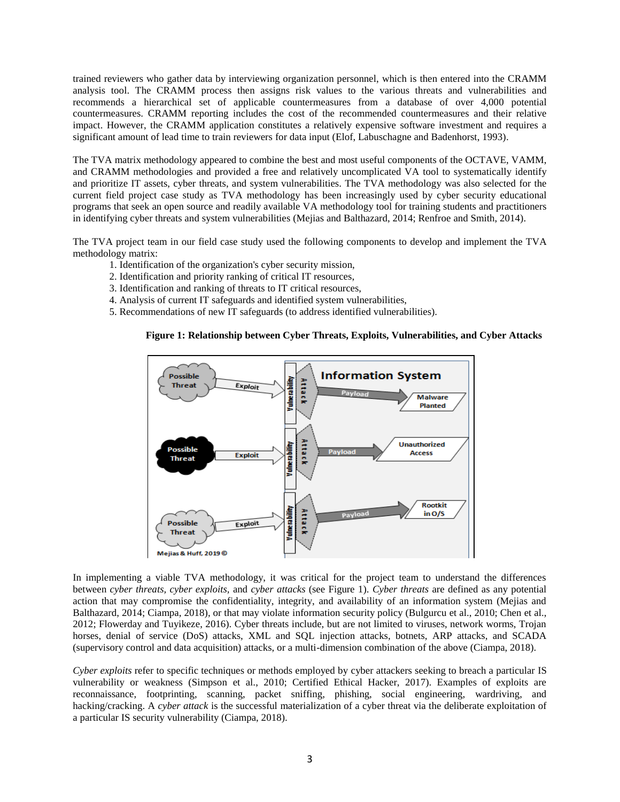trained reviewers who gather data by interviewing organization personnel, which is then entered into the CRAMM analysis tool. The CRAMM process then assigns risk values to the various threats and vulnerabilities and recommends a hierarchical set of applicable countermeasures from a database of over 4,000 potential countermeasures. CRAMM reporting includes the cost of the recommended countermeasures and their relative impact. However, the CRAMM application constitutes a relatively expensive software investment and requires a significant amount of lead time to train reviewers for data input (Elof, Labuschagne and Badenhorst, 1993).

The TVA matrix methodology appeared to combine the best and most useful components of the OCTAVE, VAMM, and CRAMM methodologies and provided a free and relatively uncomplicated VA tool to systematically identify and prioritize IT assets, cyber threats, and system vulnerabilities. The TVA methodology was also selected for the current field project case study as TVA methodology has been increasingly used by cyber security educational programs that seek an open source and readily available VA methodology tool for training students and practitioners in identifying cyber threats and system vulnerabilities (Mejias and Balthazard, 2014; Renfroe and Smith, 2014).

The TVA project team in our field case study used the following components to develop and implement the TVA methodology matrix:

- 1. Identification of the organization's cyber security mission,
- 2. Identification and priority ranking of critical IT resources,
- 3. Identification and ranking of threats to IT critical resources,
- 4. Analysis of current IT safeguards and identified system vulnerabilities,
- 5. Recommendations of new IT safeguards (to address identified vulnerabilities).

## **Figure 1: Relationship between Cyber Threats, Exploits, Vulnerabilities, and Cyber Attacks**



In implementing a viable TVA methodology, it was critical for the project team to understand the differences between *cyber threats, cyber exploits,* and *cyber attacks* (see Figure 1). *Cyber threats* are defined as any potential action that may compromise the confidentiality, integrity, and availability of an information system (Mejias and Balthazard, 2014; Ciampa, 2018), or that may violate information security policy (Bulgurcu et al., 2010; Chen et al., 2012; Flowerday and Tuyikeze, 2016). Cyber threats include, but are not limited to viruses, network worms, Trojan horses, denial of service (DoS) attacks, XML and SQL injection attacks, botnets, ARP attacks, and SCADA (supervisory control and data acquisition) attacks, or a multi-dimension combination of the above (Ciampa, 2018).

*Cyber exploits* refer to specific techniques or methods employed by cyber attackers seeking to breach a particular IS vulnerability or weakness (Simpson et al., 2010; Certified Ethical Hacker, 2017). Examples of exploits are reconnaissance, footprinting, scanning, packet sniffing, phishing, social engineering, wardriving, and hacking/cracking. A *cyber attack* is the successful materialization of a cyber threat via the deliberate exploitation of a particular IS security vulnerability (Ciampa, 2018).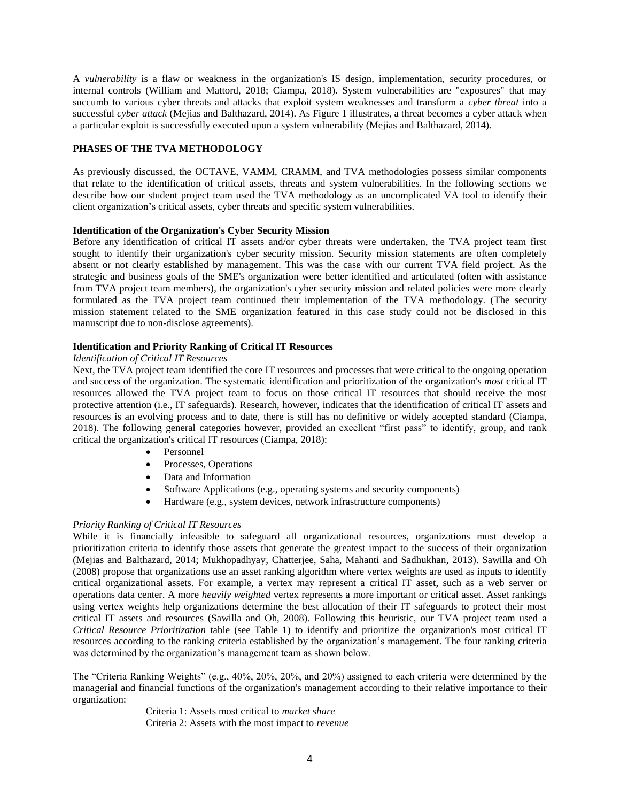A *vulnerability* is a flaw or weakness in the organization's IS design, implementation, security procedures, or internal controls (William and Mattord, 2018; Ciampa, 2018). System vulnerabilities are "exposures" that may succumb to various cyber threats and attacks that exploit system weaknesses and transform a *cyber threat* into a successful *cyber attack* (Mejias and Balthazard, 2014). As Figure 1 illustrates, a threat becomes a cyber attack when a particular exploit is successfully executed upon a system vulnerability (Mejias and Balthazard, 2014).

## **PHASES OF THE TVA METHODOLOGY**

As previously discussed, the OCTAVE, VAMM, CRAMM, and TVA methodologies possess similar components that relate to the identification of critical assets, threats and system vulnerabilities. In the following sections we describe how our student project team used the TVA methodology as an uncomplicated VA tool to identify their client organization's critical assets, cyber threats and specific system vulnerabilities.

#### **Identification of the Organization's Cyber Security Mission**

Before any identification of critical IT assets and/or cyber threats were undertaken, the TVA project team first sought to identify their organization's cyber security mission. Security mission statements are often completely absent or not clearly established by management. This was the case with our current TVA field project. As the strategic and business goals of the SME's organization were better identified and articulated (often with assistance from TVA project team members), the organization's cyber security mission and related policies were more clearly formulated as the TVA project team continued their implementation of the TVA methodology. (The security mission statement related to the SME organization featured in this case study could not be disclosed in this manuscript due to non-disclose agreements).

## **Identification and Priority Ranking of Critical IT Resources**

#### *Identification of Critical IT Resources*

Next, the TVA project team identified the core IT resources and processes that were critical to the ongoing operation and success of the organization. The systematic identification and prioritization of the organization's *most* critical IT resources allowed the TVA project team to focus on those critical IT resources that should receive the most protective attention (i.e., IT safeguards). Research, however, indicates that the identification of critical IT assets and resources is an evolving process and to date, there is still has no definitive or widely accepted standard (Ciampa, 2018). The following general categories however, provided an excellent "first pass" to identify, group, and rank critical the organization's critical IT resources (Ciampa, 2018):

- Personnel
- Processes, Operations
- Data and Information
- Software Applications (e.g., operating systems and security components)
- Hardware (e.g., system devices, network infrastructure components)

#### *Priority Ranking of Critical IT Resources*

While it is financially infeasible to safeguard all organizational resources, organizations must develop a prioritization criteria to identify those assets that generate the greatest impact to the success of their organization (Mejias and Balthazard, 2014; Mukhopadhyay, Chatterjee, Saha, Mahanti and Sadhukhan, 2013). Sawilla and Oh (2008) propose that organizations use an asset ranking algorithm where vertex weights are used as inputs to identify critical organizational assets. For example, a vertex may represent a critical IT asset, such as a web server or operations data center. A more *heavily weighted* vertex represents a more important or critical asset. Asset rankings using vertex weights help organizations determine the best allocation of their IT safeguards to protect their most critical IT assets and resources (Sawilla and Oh, 2008). Following this heuristic, our TVA project team used a *Critical Resource Prioritization* table (see Table 1) to identify and prioritize the organization's most critical IT resources according to the ranking criteria established by the organization's management. The four ranking criteria was determined by the organization's management team as shown below.

The "Criteria Ranking Weights" (e.g., 40%, 20%, 20%, and 20%) assigned to each criteria were determined by the managerial and financial functions of the organization's management according to their relative importance to their organization:

> Criteria 1: Assets most critical to *market share* Criteria 2: Assets with the most impact to *revenue*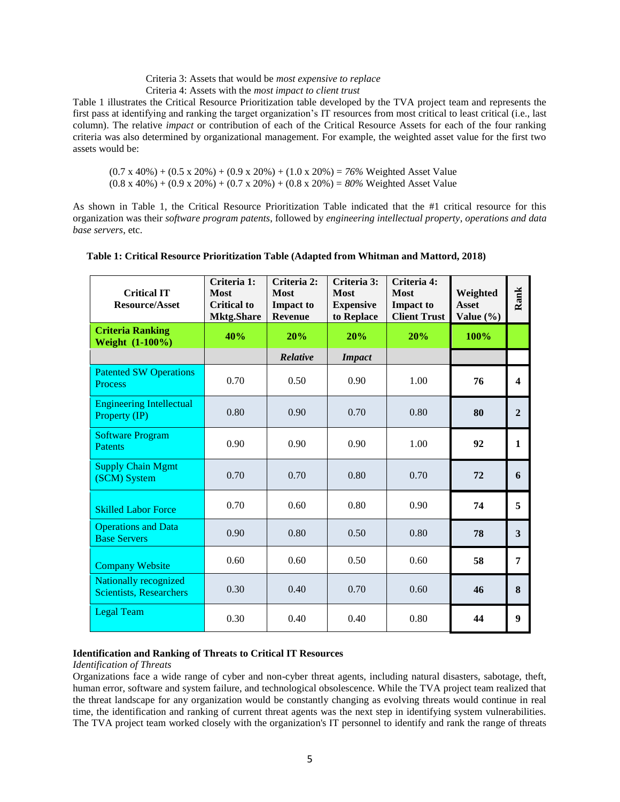#### Criteria 3: Assets that would be *most expensive to replace* Criteria 4: Assets with the *most impact to client trust*

Table 1 illustrates the Critical Resource Prioritization table developed by the TVA project team and represents the first pass at identifying and ranking the target organization's IT resources from most critical to least critical (i.e., last column). The relative *impact* or contribution of each of the Critical Resource Assets for each of the four ranking criteria was also determined by organizational management. For example, the weighted asset value for the first two assets would be:

(0.7 x 40%) + (0.5 x 20%) + (0.9 x 20%) + (1.0 x 20%) = *76%* Weighted Asset Value (0.8 x 40%) + (0.9 x 20%) + (0.7 x 20%) + (0.8 x 20%) = *80%* Weighted Asset Value

As shown in Table 1, the Critical Resource Prioritization Table indicated that the #1 critical resource for this organization was their *software program patents*, followed by *engineering intellectual property*, *operations and data base servers*, etc.

| <b>Critical IT</b><br><b>Resource/Asset</b>                    | Criteria 1:<br>Most<br><b>Critical to</b><br><b>Mktg.Share</b> | Criteria 2:<br><b>Most</b><br><b>Impact to</b><br><b>Revenue</b> | Criteria 3:<br><b>Most</b><br><b>Expensive</b><br>to Replace | Criteria 4:<br><b>Most</b><br><b>Impact to</b><br><b>Client Trust</b> | Weighted<br><b>Asset</b><br>Value $(\% )$ | Rank             |
|----------------------------------------------------------------|----------------------------------------------------------------|------------------------------------------------------------------|--------------------------------------------------------------|-----------------------------------------------------------------------|-------------------------------------------|------------------|
| <b>Criteria Ranking</b><br>Weight (1-100%)                     | 40%                                                            | 20%                                                              | 20%                                                          | 20%                                                                   | 100%                                      |                  |
|                                                                |                                                                | Relative                                                         | <b>Impact</b>                                                |                                                                       |                                           |                  |
| <b>Patented SW Operations</b><br><b>Process</b>                | 0.70                                                           | 0.50                                                             | 0.90                                                         | 1.00                                                                  | 76                                        | $\boldsymbol{4}$ |
| <b>Engineering Intellectual</b><br>Property (IP)               | 0.80                                                           | 0.90                                                             | 0.70                                                         | 0.80                                                                  | 80                                        | $\overline{2}$   |
| <b>Software Program</b><br><b>Patents</b>                      | 0.90                                                           | 0.90                                                             | 0.90                                                         | 1.00                                                                  | 92                                        | 1                |
| <b>Supply Chain Mgmt</b><br>(SCM) System                       | 0.70                                                           | 0.70                                                             | 0.80                                                         | 0.70                                                                  | 72                                        | 6                |
| <b>Skilled Labor Force</b>                                     | 0.70                                                           | 0.60                                                             | 0.80                                                         | 0.90                                                                  | 74                                        | 5                |
| <b>Operations and Data</b><br><b>Base Servers</b>              | 0.90                                                           | 0.80                                                             | 0.50                                                         | 0.80                                                                  | 78                                        | 3                |
| <b>Company Website</b>                                         | 0.60                                                           | 0.60                                                             | 0.50                                                         | 0.60                                                                  | 58                                        | 7                |
| <b>Nationally recognized</b><br><b>Scientists, Researchers</b> | 0.30                                                           | 0.40                                                             | 0.70                                                         | 0.60                                                                  | 46                                        | 8                |
| <b>Legal Team</b>                                              | 0.30                                                           | 0.40                                                             | 0.40                                                         | 0.80                                                                  | 44                                        | $\boldsymbol{9}$ |

## **Table 1: Critical Resource Prioritization Table (Adapted from Whitman and Mattord, 2018)**

#### **Identification and Ranking of Threats to Critical IT Resources**

#### *Identification of Threats*

Organizations face a wide range of cyber and non-cyber threat agents, including natural disasters, sabotage, theft, human error, software and system failure, and technological obsolescence. While the TVA project team realized that the threat landscape for any organization would be constantly changing as evolving threats would continue in real time, the identification and ranking of current threat agents was the next step in identifying system vulnerabilities. The TVA project team worked closely with the organization's IT personnel to identify and rank the range of threats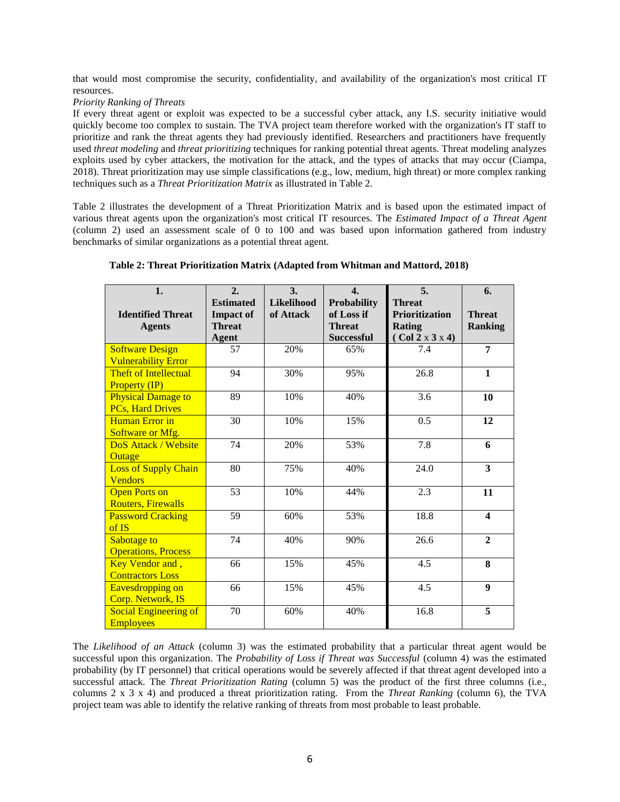that would most compromise the security, confidentiality, and availability of the organization's most critical IT resources.

## *Priority Ranking of Threats*

If every threat agent or exploit was expected to be a successful cyber attack, any I.S. security initiative would quickly become too complex to sustain. The TVA project team therefore worked with the organization's IT staff to prioritize and rank the threat agents they had previously identified. Researchers and practitioners have frequently used *threat modeling* and *threat prioritizing* techniques for ranking potential threat agents. Threat modeling analyzes exploits used by cyber attackers, the motivation for the attack, and the types of attacks that may occur (Ciampa, 2018). Threat prioritization may use simple classifications (e.g., low, medium, high threat) or more complex ranking techniques such as a *Threat Prioritization Matrix* as illustrated in Table 2.

Table 2 illustrates the development of a Threat Prioritization Matrix and is based upon the estimated impact of various threat agents upon the organization's most critical IT resources. The *Estimated Impact of a Threat Agent* (column 2) used an assessment scale of 0 to 100 and was based upon information gathered from industry benchmarks of similar organizations as a potential threat agent.

| 1.                           | 2.               | 3.                | $\overline{4}$ .   | 5.                    | 6.                      |
|------------------------------|------------------|-------------------|--------------------|-----------------------|-------------------------|
|                              | <b>Estimated</b> | <b>Likelihood</b> | <b>Probability</b> | <b>Threat</b>         |                         |
| <b>Identified Threat</b>     | <b>Impact of</b> | of Attack         | of Loss if         | <b>Prioritization</b> | <b>Threat</b>           |
| <b>Agents</b>                | <b>Threat</b>    |                   | <b>Threat</b>      | Rating                | <b>Ranking</b>          |
|                              | <b>Agent</b>     |                   | <b>Successful</b>  | (Col 2 x 3 x 4)       |                         |
| <b>Software Design</b>       | 57               | 20%               | 65%                | 7.4                   | 7                       |
| <b>Vulnerability Error</b>   |                  |                   |                    |                       |                         |
| <b>Theft of Intellectual</b> | 94               | 30%               | 95%                | 26.8                  | $\mathbf{1}$            |
| <b>Property (IP)</b>         |                  |                   |                    |                       |                         |
| <b>Physical Damage to</b>    | 89               | 10%               | 40%                | 3.6                   | 10                      |
| <b>PCs, Hard Drives</b>      |                  |                   |                    |                       |                         |
| Human Error in               | 30               | 10%               | 15%                | 0.5                   | 12                      |
| Software or Mfg.             |                  |                   |                    |                       |                         |
| DoS Attack / Website         | 74               | 20%               | 53%                | 7.8                   | 6                       |
| Outage                       |                  |                   |                    |                       |                         |
| <b>Loss of Supply Chain</b>  | 80               | 75%               | 40%                | 24.0                  | $\overline{\mathbf{3}}$ |
| <b>Vendors</b>               |                  |                   |                    |                       |                         |
| <b>Open Ports on</b>         | 53               | 10%               | 44%                | 2.3                   | 11                      |
| <b>Routers, Firewalls</b>    |                  |                   |                    |                       |                         |
| <b>Password Cracking</b>     | 59               | 60%               | 53%                | 18.8                  | $\overline{\mathbf{4}}$ |
| of IS                        |                  |                   |                    |                       |                         |
| Sabotage to                  | 74               | 40%               | 90%                | 26.6                  | $\mathbf{2}$            |
| <b>Operations, Process</b>   |                  |                   |                    |                       |                         |
| <b>Key Vendor and,</b>       | 66               | 15%               | 45%                | 4.5                   | 8                       |
| <b>Contractors Loss</b>      |                  |                   |                    |                       |                         |
| Eavesdropping on             | 66               | 15%               | 45%                | 4.5                   | $\boldsymbol{9}$        |
| Corp. Network, IS            |                  |                   |                    |                       |                         |
| <b>Social Engineering of</b> | 70               | 60%               | 40%                | 16.8                  | 5                       |
| <b>Employees</b>             |                  |                   |                    |                       |                         |

## **Table 2: Threat Prioritization Matrix (Adapted from Whitman and Mattord, 2018)**

The *Likelihood of an Attack* (column 3) was the estimated probability that a particular threat agent would be successful upon this organization. The *Probability of Loss if Threat was Successful* (column 4) was the estimated probability (by IT personnel) that critical operations would be severely affected if that threat agent developed into a successful attack. The *Threat Prioritization Rating* (column 5) was the product of the first three columns (i.e., columns 2 x 3 x 4) and produced a threat prioritization rating. From the *Threat Ranking* (column 6), the TVA project team was able to identify the relative ranking of threats from most probable to least probable.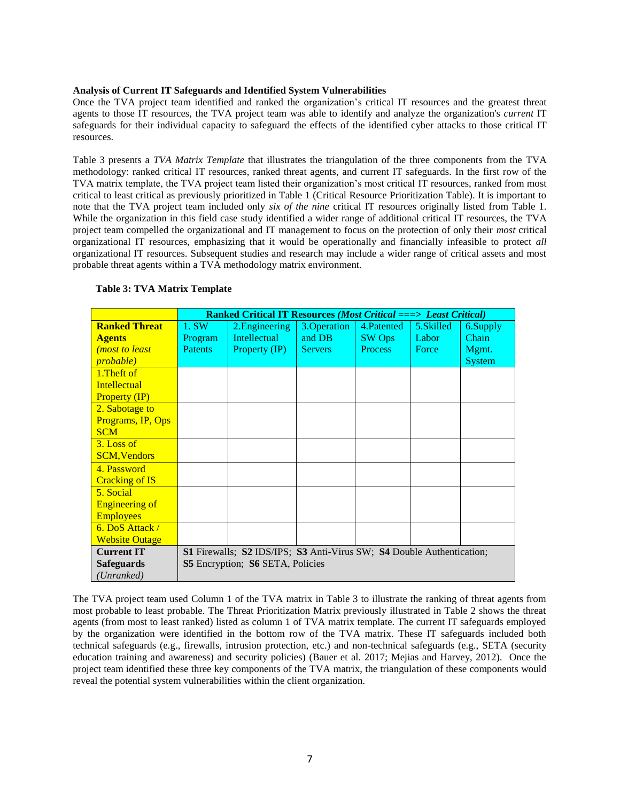#### **Analysis of Current IT Safeguards and Identified System Vulnerabilities**

Once the TVA project team identified and ranked the organization's critical IT resources and the greatest threat agents to those IT resources, the TVA project team was able to identify and analyze the organization's *current* IT safeguards for their individual capacity to safeguard the effects of the identified cyber attacks to those critical IT resources.

Table 3 presents a *TVA Matrix Template* that illustrates the triangulation of the three components from the TVA methodology: ranked critical IT resources, ranked threat agents, and current IT safeguards. In the first row of the TVA matrix template, the TVA project team listed their organization's most critical IT resources, ranked from most critical to least critical as previously prioritized in Table 1 (Critical Resource Prioritization Table). It is important to note that the TVA project team included only *six of the nine* critical IT resources originally listed from Table 1. While the organization in this field case study identified a wider range of additional critical IT resources, the TVA project team compelled the organizational and IT management to focus on the protection of only their *most* critical organizational IT resources, emphasizing that it would be operationally and financially infeasible to protect *all* organizational IT resources. Subsequent studies and research may include a wider range of critical assets and most probable threat agents within a TVA methodology matrix environment.

|                        | <b>Ranked Critical IT Resources (Most Critical ===&gt; Least Critical)</b> |                                                                       |                |                |           |               |  |
|------------------------|----------------------------------------------------------------------------|-----------------------------------------------------------------------|----------------|----------------|-----------|---------------|--|
| <b>Ranked Threat</b>   | 1. SW                                                                      | 2. Engineering                                                        | 3.Operation    | 4. Patented    | 5.Skilled | 6.Supply      |  |
| <b>Agents</b>          | Program                                                                    | <b>Intellectual</b>                                                   | and DB         | <b>SW</b> Ops  | Labor     | Chain         |  |
| <i>(most to least)</i> | <b>Patents</b>                                                             | Property (IP)                                                         | <b>Servers</b> | <b>Process</b> | Force     | Mgmt.         |  |
| <i>probable</i> )      |                                                                            |                                                                       |                |                |           | <b>System</b> |  |
| 1. Theft of            |                                                                            |                                                                       |                |                |           |               |  |
| <b>Intellectual</b>    |                                                                            |                                                                       |                |                |           |               |  |
| <b>Property (IP)</b>   |                                                                            |                                                                       |                |                |           |               |  |
| 2. Sabotage to         |                                                                            |                                                                       |                |                |           |               |  |
| Programs, IP, Ops      |                                                                            |                                                                       |                |                |           |               |  |
| <b>SCM</b>             |                                                                            |                                                                       |                |                |           |               |  |
| $3.$ Loss of           |                                                                            |                                                                       |                |                |           |               |  |
| <b>SCM, Vendors</b>    |                                                                            |                                                                       |                |                |           |               |  |
| 4. Password            |                                                                            |                                                                       |                |                |           |               |  |
| <b>Cracking of IS</b>  |                                                                            |                                                                       |                |                |           |               |  |
| 5. Social              |                                                                            |                                                                       |                |                |           |               |  |
| <b>Engineering of</b>  |                                                                            |                                                                       |                |                |           |               |  |
| <b>Employees</b>       |                                                                            |                                                                       |                |                |           |               |  |
| 6. DoS Attack /        |                                                                            |                                                                       |                |                |           |               |  |
| <b>Website Outage</b>  |                                                                            |                                                                       |                |                |           |               |  |
| <b>Current IT</b>      |                                                                            | S1 Firewalls; S2 IDS/IPS; S3 Anti-Virus SW; S4 Double Authentication; |                |                |           |               |  |
| <b>Safeguards</b>      |                                                                            | <b>S5</b> Encryption; <b>S6</b> SETA, Policies                        |                |                |           |               |  |
| (Unranked)             |                                                                            |                                                                       |                |                |           |               |  |

## **Table 3: TVA Matrix Template**

The TVA project team used Column 1 of the TVA matrix in Table 3 to illustrate the ranking of threat agents from most probable to least probable. The Threat Prioritization Matrix previously illustrated in Table 2 shows the threat agents (from most to least ranked) listed as column 1 of TVA matrix template. The current IT safeguards employed by the organization were identified in the bottom row of the TVA matrix. These IT safeguards included both technical safeguards (e.g., firewalls, intrusion protection, etc.) and non-technical safeguards (e.g., SETA (security education training and awareness) and security policies) (Bauer et al. 2017; Mejias and Harvey, 2012). Once the project team identified these three key components of the TVA matrix, the triangulation of these components would reveal the potential system vulnerabilities within the client organization.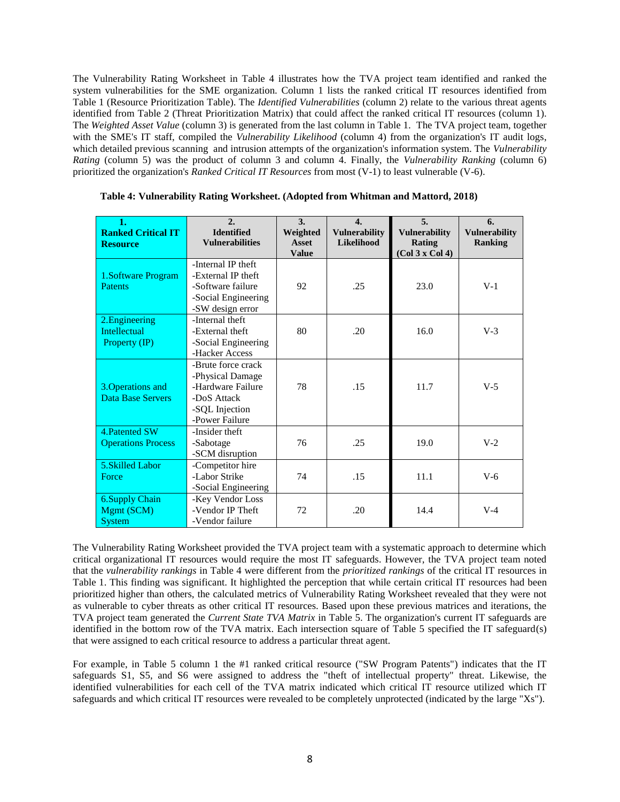The Vulnerability Rating Worksheet in Table 4 illustrates how the TVA project team identified and ranked the system vulnerabilities for the SME organization. Column 1 lists the ranked critical IT resources identified from Table 1 (Resource Prioritization Table). The *Identified Vulnerabilities* (column 2) relate to the various threat agents identified from Table 2 (Threat Prioritization Matrix) that could affect the ranked critical IT resources (column 1). The *Weighted Asset Value* (column 3) is generated from the last column in Table 1. The TVA project team, together with the SME's IT staff, compiled the *Vulnerability Likelihood* (column 4) from the organization's IT audit logs, which detailed previous scanning and intrusion attempts of the organization's information system. The *Vulnerability Rating* (column 5) was the product of column 3 and column 4. Finally, the *Vulnerability Ranking* (column 6) prioritized the organization's *Ranked Critical IT Resources* from most (V-1) to least vulnerable (V-6).

| 1.<br><b>Ranked Critical IT</b><br><b>Resource</b>     | 2.<br><b>Identified</b><br><b>Vulnerabilities</b>                                                              | 3.<br>Weighted<br>Asset<br><b>Value</b> | $\overline{4}$ .<br><b>Vulnerability</b><br><b>Likelihood</b> | 5 <sub>1</sub><br><b>Vulnerability</b><br><b>Rating</b><br>(Col 3 x Col 4) | 6.<br><b>Vulnerability</b><br><b>Ranking</b> |
|--------------------------------------------------------|----------------------------------------------------------------------------------------------------------------|-----------------------------------------|---------------------------------------------------------------|----------------------------------------------------------------------------|----------------------------------------------|
| 1.Software Program<br><b>Patents</b>                   | -Internal IP theft<br>-External IP theft<br>-Software failure<br>-Social Engineering<br>-SW design error       | 92                                      | .25                                                           | 23.0                                                                       | $V-1$                                        |
| 2. Engineering<br><b>Intellectual</b><br>Property (IP) | -Internal theft<br>-External theft<br>-Social Engineering<br>-Hacker Access                                    | 80                                      | .20                                                           | 16.0                                                                       | $V-3$                                        |
| 3. Operations and<br><b>Data Base Servers</b>          | -Brute force crack<br>-Physical Damage<br>-Hardware Failure<br>-DoS Attack<br>-SQL Injection<br>-Power Failure | 78                                      | .15                                                           | 11.7                                                                       | $V-5$                                        |
| 4. Patented SW<br><b>Operations Process</b>            | -Insider theft<br>-Sabotage<br>-SCM disruption                                                                 | 76                                      | .25                                                           | 19.0                                                                       | $V-2$                                        |
| 5. Skilled Labor<br>Force                              | -Competitor hire<br>-Labor Strike<br>-Social Engineering                                                       | 74                                      | .15                                                           | 11.1                                                                       | $V-6$                                        |
| <b>6.Supply Chain</b><br>Mgmt (SCM)<br><b>System</b>   | -Key Vendor Loss<br>-Vendor IP Theft<br>-Vendor failure                                                        | 72                                      | .20                                                           | 14.4                                                                       | $V-4$                                        |

| Table 4: Vulnerability Rating Worksheet. (Adopted from Whitman and Mattord, 2018) |  |  |  |  |  |  |  |  |
|-----------------------------------------------------------------------------------|--|--|--|--|--|--|--|--|
|-----------------------------------------------------------------------------------|--|--|--|--|--|--|--|--|

The Vulnerability Rating Worksheet provided the TVA project team with a systematic approach to determine which critical organizational IT resources would require the most IT safeguards. However, the TVA project team noted that the *vulnerability rankings* in Table 4 were different from the *prioritized rankings* of the critical IT resources in Table 1. This finding was significant. It highlighted the perception that while certain critical IT resources had been prioritized higher than others, the calculated metrics of Vulnerability Rating Worksheet revealed that they were not as vulnerable to cyber threats as other critical IT resources. Based upon these previous matrices and iterations, the TVA project team generated the *Current State TVA Matrix* in Table 5. The organization's current IT safeguards are identified in the bottom row of the TVA matrix. Each intersection square of Table 5 specified the IT safeguard(s) that were assigned to each critical resource to address a particular threat agent.

For example, in Table 5 column 1 the #1 ranked critical resource ("SW Program Patents") indicates that the IT safeguards S1, S5, and S6 were assigned to address the "theft of intellectual property" threat. Likewise, the identified vulnerabilities for each cell of the TVA matrix indicated which critical IT resource utilized which IT safeguards and which critical IT resources were revealed to be completely unprotected (indicated by the large "Xs").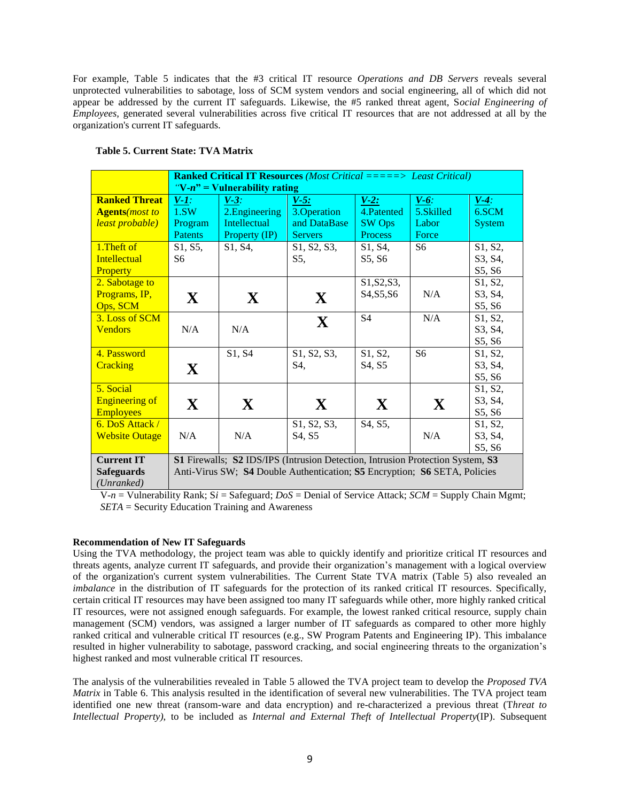For example, Table 5 indicates that the #3 critical IT resource *Operations and DB Servers* reveals several unprotected vulnerabilities to sabotage, loss of SCM system vendors and social engineering, all of which did not appear be addressed by the current IT safeguards. Likewise, the #5 ranked threat agent, S*ocial Engineering of Employees,* generated several vulnerabilities across five critical IT resources that are not addressed at all by the organization's current IT safeguards.

|                                | <b>Ranked Critical IT Resources</b> (Most Critical =====> Least Critical) |                                                                                |                                                    |                                                  |                |               |  |  |
|--------------------------------|---------------------------------------------------------------------------|--------------------------------------------------------------------------------|----------------------------------------------------|--------------------------------------------------|----------------|---------------|--|--|
|                                |                                                                           | " $V-n$ " = Vulnerability rating                                               |                                                    |                                                  |                |               |  |  |
| <b>Ranked Threat</b>           | $V-I$ :                                                                   | $V-3$ :                                                                        | $V-5$ :                                            | $V-2$ :                                          | $V-6$ :        | $V-4$ :       |  |  |
| <b>Agents</b> ( <i>most to</i> | 1.5W                                                                      | 2. Engineering                                                                 | 3. Operation                                       | 4. Patented                                      | 5.Skilled      | 6.SCM         |  |  |
| least probable)                | Program                                                                   | <b>Intellectual</b>                                                            | and DataBase                                       | <b>SW</b> Ops                                    | Labor          | <b>System</b> |  |  |
|                                | <b>Patents</b>                                                            | Property (IP)                                                                  | <b>Servers</b>                                     | <b>Process</b>                                   | Force          |               |  |  |
| 1. Theft of                    | S1, S5,                                                                   | S1, S4,                                                                        | S <sub>1</sub> , S <sub>2</sub> , S <sub>3</sub> , | S1, S4,                                          | S6             | S1, S2,       |  |  |
| <b>Intellectual</b>            | S6                                                                        |                                                                                | S5,                                                | S5, S6                                           |                | S3, S4,       |  |  |
| Property                       |                                                                           |                                                                                |                                                    |                                                  |                | S5, S6        |  |  |
| 2. Sabotage to                 |                                                                           |                                                                                |                                                    | S1, S2, S3,                                      |                | S1, S2,       |  |  |
| Programs, IP,                  | X                                                                         | X                                                                              | X                                                  | S <sub>4</sub> , S <sub>5</sub> , S <sub>6</sub> | N/A            | S3, S4,       |  |  |
| Ops, SCM                       |                                                                           |                                                                                |                                                    |                                                  |                | S5, S6        |  |  |
| 3. Loss of SCM                 |                                                                           |                                                                                | $\mathbf{X}$                                       | S <sub>4</sub>                                   | N/A            | S1, S2,       |  |  |
| <b>Vendors</b>                 | N/A                                                                       | N/A                                                                            |                                                    |                                                  |                | S3, S4,       |  |  |
|                                |                                                                           |                                                                                |                                                    |                                                  |                | S5, S6        |  |  |
| 4. Password                    |                                                                           | S1, S4                                                                         | S1, S2, S3,                                        | S1, S2,                                          | S <sub>6</sub> | S1, S2,       |  |  |
| <b>Cracking</b>                | $\mathbf{X}$                                                              |                                                                                | S4,                                                | S4, S5                                           |                | S3, S4,       |  |  |
|                                |                                                                           |                                                                                |                                                    |                                                  |                | S5, S6        |  |  |
| 5. Social                      |                                                                           |                                                                                |                                                    |                                                  |                | S1, S2,       |  |  |
| <b>Engineering of</b>          | X                                                                         | $\mathbf{X}$                                                                   | X                                                  | $\mathbf{X}$                                     | X              | S3, S4,       |  |  |
| <b>Employees</b>               |                                                                           |                                                                                |                                                    |                                                  |                | S5, S6        |  |  |
| 6. DoS Attack /                |                                                                           |                                                                                | S1, S2, S3,                                        | S4, S5,                                          |                | S1, S2,       |  |  |
| <b>Website Outage</b>          | N/A                                                                       | N/A                                                                            | S <sub>4</sub> , S <sub>5</sub>                    |                                                  | N/A            | S3, S4,       |  |  |
|                                |                                                                           |                                                                                |                                                    |                                                  |                | S5, S6        |  |  |
| <b>Current IT</b>              |                                                                           | S1 Firewalls; S2 IDS/IPS (Intrusion Detection, Intrusion Protection System, S3 |                                                    |                                                  |                |               |  |  |
| <b>Safeguards</b>              |                                                                           | Anti-Virus SW; S4 Double Authentication; S5 Encryption; S6 SETA, Policies      |                                                    |                                                  |                |               |  |  |
| (Unranked)                     |                                                                           |                                                                                |                                                    |                                                  |                |               |  |  |

#### **Table 5. Current State: TVA Matrix**

 V-*n* = Vulnerability Rank; S*i* = Safeguard; *DoS* = Denial of Service Attack; *SCM* = Supply Chain Mgmt; *SETA* = Security Education Training and Awareness

#### **Recommendation of New IT Safeguards**

Using the TVA methodology, the project team was able to quickly identify and prioritize critical IT resources and threats agents, analyze current IT safeguards, and provide their organization's management with a logical overview of the organization's current system vulnerabilities. The Current State TVA matrix (Table 5) also revealed an *imbalance* in the distribution of IT safeguards for the protection of its ranked critical IT resources. Specifically, certain critical IT resources may have been assigned too many IT safeguards while other, more highly ranked critical IT resources, were not assigned enough safeguards. For example, the lowest ranked critical resource, supply chain management (SCM) vendors, was assigned a larger number of IT safeguards as compared to other more highly ranked critical and vulnerable critical IT resources (e.g., SW Program Patents and Engineering IP). This imbalance resulted in higher vulnerability to sabotage, password cracking, and social engineering threats to the organization's highest ranked and most vulnerable critical IT resources.

The analysis of the vulnerabilities revealed in Table 5 allowed the TVA project team to develop the *Proposed TVA Matrix* in Table 6. This analysis resulted in the identification of several new vulnerabilities. The TVA project team identified one new threat (ransom-ware and data encryption) and re-characterized a previous threat (T*hreat to Intellectual Property)*, to be included as *Internal and External Theft of Intellectual Property*(IP). Subsequent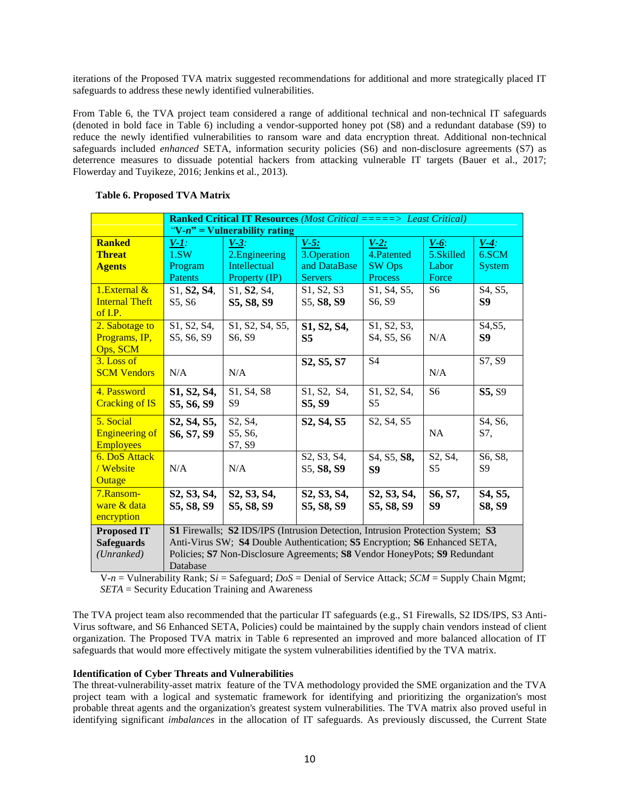iterations of the Proposed TVA matrix suggested recommendations for additional and more strategically placed IT safeguards to address these newly identified vulnerabilities.

From Table 6, the TVA project team considered a range of additional technical and non-technical IT safeguards (denoted in bold face in Table 6) including a vendor-supported honey pot (S8) and a redundant database (S9) to reduce the newly identified vulnerabilities to ransom ware and data encryption threat. Additional non-technical safeguards included *enhanced* SETA, information security policies (S6) and non-disclosure agreements (S7) as deterrence measures to dissuade potential hackers from attacking vulnerable IT targets (Bauer et al., 2017; Flowerday and Tuyikeze, 2016; Jenkins et al., 2013).

|                       | <b>Ranked Critical IT Resources</b> (Most Critical =====> Least Critical)             |                                                                                |                                                  |                                                  |                |                |  |  |
|-----------------------|---------------------------------------------------------------------------------------|--------------------------------------------------------------------------------|--------------------------------------------------|--------------------------------------------------|----------------|----------------|--|--|
|                       |                                                                                       | "V-n" = Vulnerability rating                                                   |                                                  |                                                  |                |                |  |  |
| <b>Ranked</b>         | $V-I$ :                                                                               | $V-3$ :                                                                        | $V-5$ :                                          | $V-2:$                                           | $V-6$ :        | $V-4$ :        |  |  |
| <b>Threat</b>         | 1.5W                                                                                  | 2. Engineering                                                                 | 3. Operation                                     | 4.Patented                                       | 5.Skilled      | 6.SCM          |  |  |
| <b>Agents</b>         | Program                                                                               | Intellectual                                                                   | and DataBase                                     | <b>SW Ops</b>                                    | Labor          | System         |  |  |
|                       | Patents                                                                               | Property (IP)                                                                  | <b>Servers</b>                                   | Process                                          | Force          |                |  |  |
| 1. External $\&$      | S <sub>1</sub> , S <sub>2</sub> , S <sub>4</sub> ,                                    | S1, <b>S2</b> , S4,                                                            | S1, S2, S3                                       | S1, S4, S5,                                      | S6             | S4, S5,        |  |  |
| <b>Internal Theft</b> | S5, S6                                                                                | S5, S8, S9                                                                     | S5, S8, S9                                       | S <sub>6</sub> , S <sub>9</sub>                  |                | S <sub>9</sub> |  |  |
| of $I.P.$             |                                                                                       |                                                                                |                                                  |                                                  |                |                |  |  |
| 2. Sabotage to        | S1, S2, S4,                                                                           | S1, S2, S4, S5,                                                                | S1, S2, S4,                                      | S1, S2, S3,                                      |                | S4, S5,        |  |  |
| Programs, IP,         | S5, S6, S9                                                                            | S6, S9                                                                         | <b>S5</b>                                        | S <sub>4</sub> , S <sub>5</sub> , S <sub>6</sub> | N/A            | S9             |  |  |
| Ops, SCM              |                                                                                       |                                                                                |                                                  |                                                  |                |                |  |  |
| 3. Loss of            |                                                                                       |                                                                                | S <sub>2</sub> , S <sub>5</sub> , S <sub>7</sub> | S <sub>4</sub>                                   |                | S7, S9         |  |  |
| <b>SCM Vendors</b>    | N/A                                                                                   | N/A                                                                            |                                                  |                                                  | N/A            |                |  |  |
| 4. Password           | S1, S2, S4,                                                                           | S1, S4, S8                                                                     | S1, S2, S4,                                      | S1, S2, S4,                                      | S <sub>6</sub> | S5, S9         |  |  |
| <b>Cracking of IS</b> | S5, S6, S9                                                                            | S9                                                                             | S5, S9                                           | S <sub>5</sub>                                   |                |                |  |  |
| 5. Social             | S2, S4, S5,                                                                           | S2, S4,                                                                        | S2, S4, S5                                       | S2, S4, S5                                       |                | S4, S6,        |  |  |
| <b>Engineering of</b> | S6, S7, S9                                                                            | S5, S6,                                                                        |                                                  |                                                  | <b>NA</b>      | S7.            |  |  |
| <b>Employees</b>      |                                                                                       | S7, S9                                                                         |                                                  |                                                  |                |                |  |  |
| <b>6. DoS Attack</b>  |                                                                                       |                                                                                | S2, S3, S4,                                      | S4, S5, S8,                                      | S2, S4,        | S6, S8,        |  |  |
| / Website             | N/A                                                                                   | N/A                                                                            | S5, S8, S9                                       | S <sub>9</sub>                                   | S <sub>5</sub> | S <sub>9</sub> |  |  |
| Outage                |                                                                                       |                                                                                |                                                  |                                                  |                |                |  |  |
| 7.Ransom-             | S2, S3, S4,                                                                           | S2, S3, S4,                                                                    | S2, S3, S4,                                      | S2, S3, S4,                                      | S6, S7,        | S4, S5,        |  |  |
| ware & data           | S5, S8, S9                                                                            | S5, S8, S9                                                                     | S5, S8, S9                                       | S5, S8, S9                                       | S9             | S8, S9         |  |  |
| encryption            |                                                                                       |                                                                                |                                                  |                                                  |                |                |  |  |
| <b>Proposed IT</b>    |                                                                                       | S1 Firewalls; S2 IDS/IPS (Intrusion Detection, Intrusion Protection System; S3 |                                                  |                                                  |                |                |  |  |
| <b>Safeguards</b>     |                                                                                       | Anti-Virus SW; S4 Double Authentication; S5 Encryption; S6 Enhanced SETA,      |                                                  |                                                  |                |                |  |  |
| (Unranked)            |                                                                                       |                                                                                |                                                  |                                                  |                |                |  |  |
|                       | Policies; S7 Non-Disclosure Agreements; S8 Vendor HoneyPots; S9 Redundant<br>Database |                                                                                |                                                  |                                                  |                |                |  |  |

## **Table 6. Proposed TVA Matrix**

 $V-n = V$ ulnerability Rank;  $Si =$  Safeguard;  $DoS =$  Denial of Service Attack;  $SCM =$  Supply Chain Mgmt; *SETA* = Security Education Training and Awareness

The TVA project team also recommended that the particular IT safeguards (e.g., S1 Firewalls, S2 IDS/IPS, S3 Anti-Virus software, and S6 Enhanced SETA, Policies) could be maintained by the supply chain vendors instead of client organization. The Proposed TVA matrix in Table 6 represented an improved and more balanced allocation of IT safeguards that would more effectively mitigate the system vulnerabilities identified by the TVA matrix.

## **Identification of Cyber Threats and Vulnerabilities**

The threat-vulnerability-asset matrix feature of the TVA methodology provided the SME organization and the TVA project team with a logical and systematic framework for identifying and prioritizing the organization's most probable threat agents and the organization's greatest system vulnerabilities. The TVA matrix also proved useful in identifying significant *imbalances* in the allocation of IT safeguards. As previously discussed, the Current State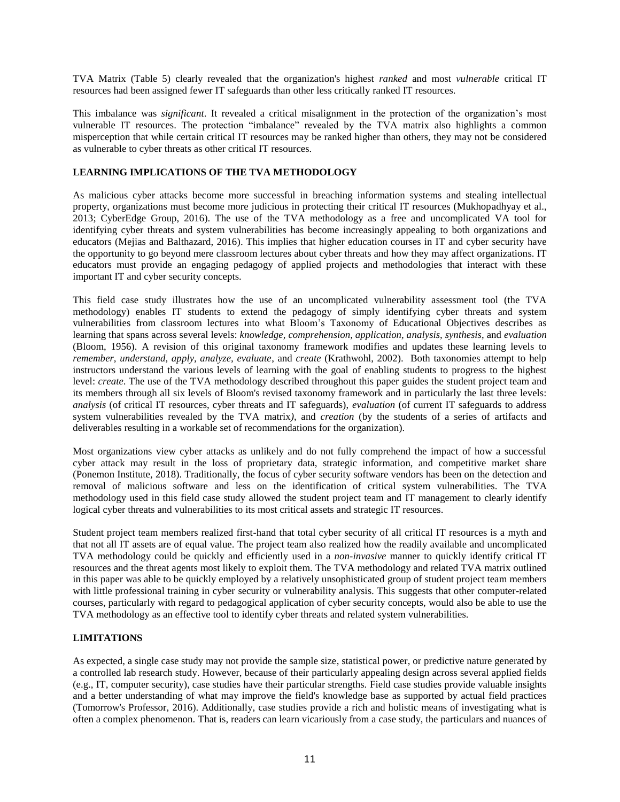TVA Matrix (Table 5) clearly revealed that the organization's highest *ranked* and most *vulnerable* critical IT resources had been assigned fewer IT safeguards than other less critically ranked IT resources.

This imbalance was *significant*. It revealed a critical misalignment in the protection of the organization's most vulnerable IT resources. The protection "imbalance" revealed by the TVA matrix also highlights a common misperception that while certain critical IT resources may be ranked higher than others, they may not be considered as vulnerable to cyber threats as other critical IT resources.

## **LEARNING IMPLICATIONS OF THE TVA METHODOLOGY**

As malicious cyber attacks become more successful in breaching information systems and stealing intellectual property, organizations must become more judicious in protecting their critical IT resources (Mukhopadhyay et al., 2013; CyberEdge Group, 2016). The use of the TVA methodology as a free and uncomplicated VA tool for identifying cyber threats and system vulnerabilities has become increasingly appealing to both organizations and educators (Mejias and Balthazard, 2016). This implies that higher education courses in IT and cyber security have the opportunity to go beyond mere classroom lectures about cyber threats and how they may affect organizations. IT educators must provide an engaging pedagogy of applied projects and methodologies that interact with these important IT and cyber security concepts.

This field case study illustrates how the use of an uncomplicated vulnerability assessment tool (the TVA methodology) enables IT students to extend the pedagogy of simply identifying cyber threats and system vulnerabilities from classroom lectures into what Bloom's Taxonomy of Educational Objectives describes as learning that spans across several levels: *knowledge, comprehension, application, analysis, synthesis*, and *evaluation* (Bloom, 1956). A revision of this original taxonomy framework modifies and updates these learning levels to *remember, understand, apply, analyze, evaluate*, and *create* (Krathwohl, 2002). Both taxonomies attempt to help instructors understand the various levels of learning with the goal of enabling students to progress to the highest level: *create*. The use of the TVA methodology described throughout this paper guides the student project team and its members through all six levels of Bloom's revised taxonomy framework and in particularly the last three levels: *analysis* (of critical IT resources, cyber threats and IT safeguards), *evaluation* (of current IT safeguards to address system vulnerabilities revealed by the TVA matrix*)*, and *creation* (by the students of a series of artifacts and deliverables resulting in a workable set of recommendations for the organization).

Most organizations view cyber attacks as unlikely and do not fully comprehend the impact of how a successful cyber attack may result in the loss of proprietary data, strategic information, and competitive market share (Ponemon Institute, 2018). Traditionally, the focus of cyber security software vendors has been on the detection and removal of malicious software and less on the identification of critical system vulnerabilities. The TVA methodology used in this field case study allowed the student project team and IT management to clearly identify logical cyber threats and vulnerabilities to its most critical assets and strategic IT resources.

Student project team members realized first-hand that total cyber security of all critical IT resources is a myth and that not all IT assets are of equal value. The project team also realized how the readily available and uncomplicated TVA methodology could be quickly and efficiently used in a *non-invasive* manner to quickly identify critical IT resources and the threat agents most likely to exploit them. The TVA methodology and related TVA matrix outlined in this paper was able to be quickly employed by a relatively unsophisticated group of student project team members with little professional training in cyber security or vulnerability analysis. This suggests that other computer-related courses, particularly with regard to pedagogical application of cyber security concepts, would also be able to use the TVA methodology as an effective tool to identify cyber threats and related system vulnerabilities.

## **LIMITATIONS**

As expected, a single case study may not provide the sample size, statistical power, or predictive nature generated by a controlled lab research study. However, because of their particularly appealing design across several applied fields (e.g., IT, computer security), case studies have their particular strengths. Field case studies provide valuable insights and a better understanding of what may improve the field's knowledge base as supported by actual field practices (Tomorrow's Professor, 2016). Additionally, case studies provide a rich and holistic means of investigating what is often a complex phenomenon. That is, readers can learn vicariously from a case study, the particulars and nuances of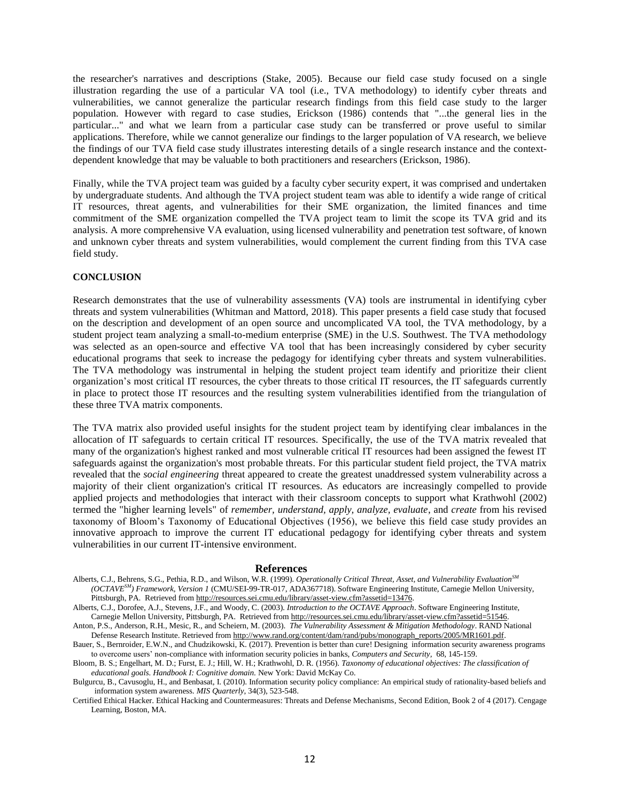the researcher's narratives and descriptions (Stake, 2005). Because our field case study focused on a single illustration regarding the use of a particular VA tool (i.e., TVA methodology) to identify cyber threats and vulnerabilities, we cannot generalize the particular research findings from this field case study to the larger population. However with regard to case studies, Erickson (1986) contends that "...the general lies in the particular..." and what we learn from a particular case study can be transferred or prove useful to similar applications. Therefore, while we cannot generalize our findings to the larger population of VA research, we believe the findings of our TVA field case study illustrates interesting details of a single research instance and the contextdependent knowledge that may be valuable to both practitioners and researchers (Erickson, 1986).

Finally, while the TVA project team was guided by a faculty cyber security expert, it was comprised and undertaken by undergraduate students. And although the TVA project student team was able to identify a wide range of critical IT resources, threat agents, and vulnerabilities for their SME organization, the limited finances and time commitment of the SME organization compelled the TVA project team to limit the scope its TVA grid and its analysis. A more comprehensive VA evaluation, using licensed vulnerability and penetration test software, of known and unknown cyber threats and system vulnerabilities, would complement the current finding from this TVA case field study.

#### **CONCLUSION**

Research demonstrates that the use of vulnerability assessments (VA) tools are instrumental in identifying cyber threats and system vulnerabilities (Whitman and Mattord, 2018). This paper presents a field case study that focused on the description and development of an open source and uncomplicated VA tool, the TVA methodology, by a student project team analyzing a small-to-medium enterprise (SME) in the U.S. Southwest. The TVA methodology was selected as an open-source and effective VA tool that has been increasingly considered by cyber security educational programs that seek to increase the pedagogy for identifying cyber threats and system vulnerabilities. The TVA methodology was instrumental in helping the student project team identify and prioritize their client organization's most critical IT resources, the cyber threats to those critical IT resources, the IT safeguards currently in place to protect those IT resources and the resulting system vulnerabilities identified from the triangulation of these three TVA matrix components.

The TVA matrix also provided useful insights for the student project team by identifying clear imbalances in the allocation of IT safeguards to certain critical IT resources. Specifically, the use of the TVA matrix revealed that many of the organization's highest ranked and most vulnerable critical IT resources had been assigned the fewest IT safeguards against the organization's most probable threats. For this particular student field project, the TVA matrix revealed that the *social engineering* threat appeared to create the greatest unaddressed system vulnerability across a majority of their client organization's critical IT resources. As educators are increasingly compelled to provide applied projects and methodologies that interact with their classroom concepts to support what Krathwohl (2002) termed the "higher learning levels" of *remember, understand, apply, analyze, evaluate*, and *create* from his revised taxonomy of Bloom's Taxonomy of Educational Objectives (1956), we believe this field case study provides an innovative approach to improve the current IT educational pedagogy for identifying cyber threats and system vulnerabilities in our current IT-intensive environment.

#### **References**

Alberts, C.J., Dorofee, A.J., Stevens, J.F., and Woody, C. (2003). *Introduction to the OCTAVE Approach*. Software Engineering Institute, Carnegie Mellon University, Pittsburgh, PA. Retrieved fro[m http://resources.sei.cmu.edu/library/asset-view.cfm?assetid=51546.](http://resources.sei.cmu.edu/library/asset-view.cfm?assetid=51546)

Anton, P.S., Anderson, R.H., Mesic, R., and Scheiern, M. (2003). *The Vulnerability Assessment & Mitigation Methodology*. RAND National Defense Research Institute. Retrieved fro[m http://www.rand.org/content/dam/rand/pubs/monograph\\_reports/2005/MR1601.pdf.](http://www.rand.org/content/dam/rand/pubs/monograph_reports/2005/MR1601.pdf)

Alberts, C.J., Behrens, S.G., Pethia, R.D., and Wilson, W.R. (1999). *Operationally Critical Threat, Asset, and Vulnerability EvaluationSM (OCTAVESM) Framework, Version 1* (CMU/SEI-99-TR-017, ADA367718). Software Engineering Institute, Carnegie Mellon University, Pittsburgh, PA. Retrieved from [http://resources.sei.cmu.edu/library/asset-view.cfm?assetid=13476.](http://resources.sei.cmu.edu/library/asset-view.cfm?assetid=13476)

Bauer, S., Bernroider, E.W.N., and Chudzikowski, K. (2017). Prevention is better than cure! Designing information security awareness programs to overcome users' non-compliance with information security policies in banks, *Computers and Security,* 68, 145-159.

Bloom, B. S.; Engelhart, M. D.; Furst, E. J.; Hill, W. H.; Krathwohl, D. R. (1956). *Taxonomy of educational objectives: The classification of educational goals. Handbook I: Cognitive domain.* New York: David McKay Co.

Bulgurcu, B., Cavusoglu, H., and Benbasat, I. (2010). Information security policy compliance: An empirical study of rationality-based beliefs and information system awareness. *MIS Quarterly*, 34(3), 523-548.

Certified Ethical Hacker. Ethical Hacking and Countermeasures: Threats and Defense Mechanisms*,* Second Edition, Book 2 of 4 (2017). Cengage Learning, Boston, MA.